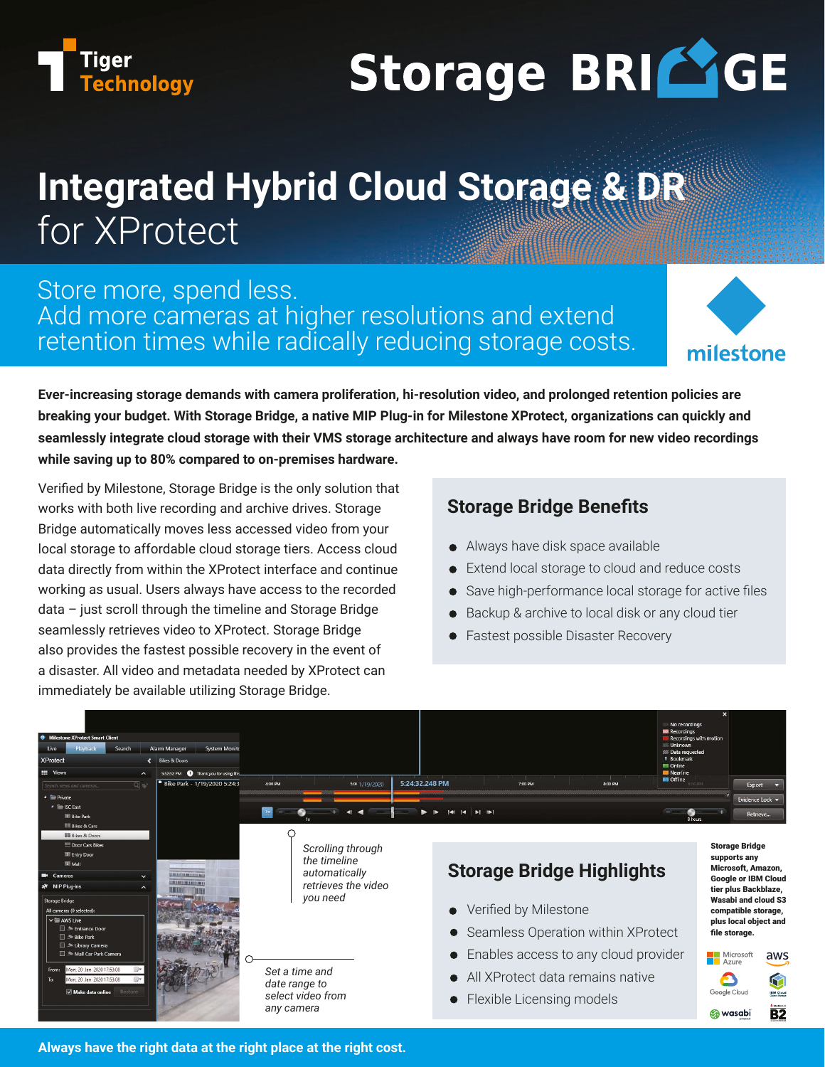

# Storage BRICIGE

# **Integrated Hybrid Cloud Storage & DR** for XProtect

## Store more, spend less. Add more cameras at higher resolutions and extend retention times while radically reducing storage costs.



**Ever-increasing storage demands with camera proliferation, hi-resolution video, and prolonged retention policies are breaking your budget. With Storage Bridge, a native MIP Plug-in for Milestone XProtect, organizations can quickly and seamlessly integrate cloud storage with their VMS storage architecture and always have room for new video recordings while saving up to 80% compared to on-premises hardware.**

Verified by Milestone, Storage Bridge is the only solution that works with both live recording and archive drives. Storage Bridge automatically moves less accessed video from your local storage to affordable cloud storage tiers. Access cloud data directly from within the XProtect interface and continue working as usual. Users always have access to the recorded data – just scroll through the timeline and Storage Bridge seamlessly retrieves video to XProtect. Storage Bridge also provides the fastest possible recovery in the event of a disaster. All video and metadata needed by XProtect can immediately be available utilizing Storage Bridge.

### **Storage Bridge Benefits**

- Always have disk space available
- Extend local storage to cloud and reduce costs
- Save high-performance local storage for active files
- Backup & archive to local disk or any cloud tier
- Fastest possible Disaster Recovery



**Always have the right data at the right place at the right cost.**